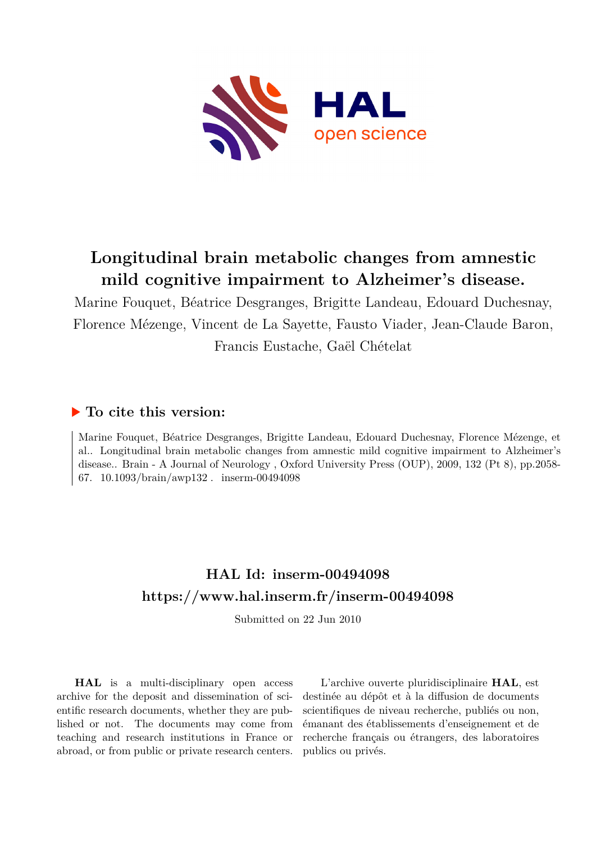

# **Longitudinal brain metabolic changes from amnestic mild cognitive impairment to Alzheimer's disease.**

Marine Fouquet, Béatrice Desgranges, Brigitte Landeau, Edouard Duchesnay, Florence Mézenge, Vincent de La Sayette, Fausto Viader, Jean-Claude Baron, Francis Eustache, Gaël Chételat

## **To cite this version:**

Marine Fouquet, Béatrice Desgranges, Brigitte Landeau, Edouard Duchesnay, Florence Mézenge, et al.. Longitudinal brain metabolic changes from amnestic mild cognitive impairment to Alzheimer's disease.. Brain - A Journal of Neurology , Oxford University Press (OUP), 2009, 132 (Pt 8), pp.2058- 67.  $10.1093/brain/awp132$ . inserm-00494098

## **HAL Id: inserm-00494098 <https://www.hal.inserm.fr/inserm-00494098>**

Submitted on 22 Jun 2010

**HAL** is a multi-disciplinary open access archive for the deposit and dissemination of scientific research documents, whether they are published or not. The documents may come from teaching and research institutions in France or abroad, or from public or private research centers.

L'archive ouverte pluridisciplinaire **HAL**, est destinée au dépôt et à la diffusion de documents scientifiques de niveau recherche, publiés ou non, émanant des établissements d'enseignement et de recherche français ou étrangers, des laboratoires publics ou privés.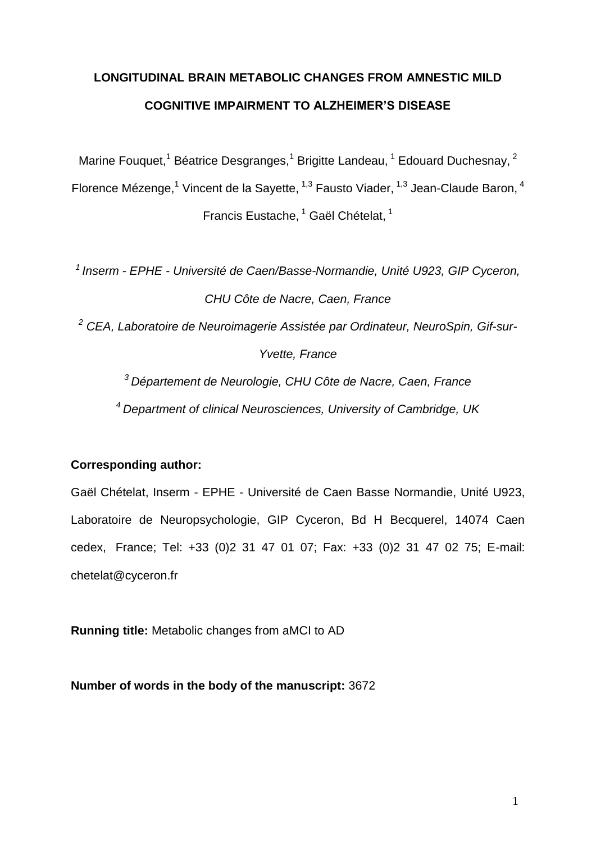# **LONGITUDINAL BRAIN METABOLIC CHANGES FROM AMNESTIC MILD COGNITIVE IMPAIRMENT TO ALZHEIMER'S DISEASE**

Marine Fouquet,<sup>1</sup> Béatrice Desgranges,<sup>1</sup> Brigitte Landeau, <sup>1</sup> Edouard Duchesnay, <sup>2</sup> Florence Mézenge,<sup>1</sup> Vincent de la Savette, <sup>1,3</sup> Fausto Viader, <sup>1,3</sup> Jean-Claude Baron, <sup>4</sup> Francis Eustache, <sup>1</sup> Gaël Chételat, <sup>1</sup>

*<sup>1</sup>Inserm - EPHE - Université de Caen/Basse-Normandie, Unité U923, GIP Cyceron, CHU Côte de Nacre, Caen, France*

*<sup>2</sup> CEA, Laboratoire de Neuroimagerie Assistée par Ordinateur, NeuroSpin, Gif-sur-Yvette, France*

*<sup>3</sup> Département de Neurologie, CHU Côte de Nacre, Caen, France <sup>4</sup>Department of clinical Neurosciences, University of Cambridge, UK*

### **Corresponding author:**

Gaël Chételat, Inserm - EPHE - Université de Caen Basse Normandie, Unité U923, Laboratoire de Neuropsychologie, GIP Cyceron, Bd H Becquerel, 14074 Caen cedex, France; Tel: +33 (0)2 31 47 01 07; Fax: +33 (0)2 31 47 02 75; E-mail: chetelat@cyceron.fr

**Running title:** Metabolic changes from aMCI to AD

**Number of words in the body of the manuscript:** 3672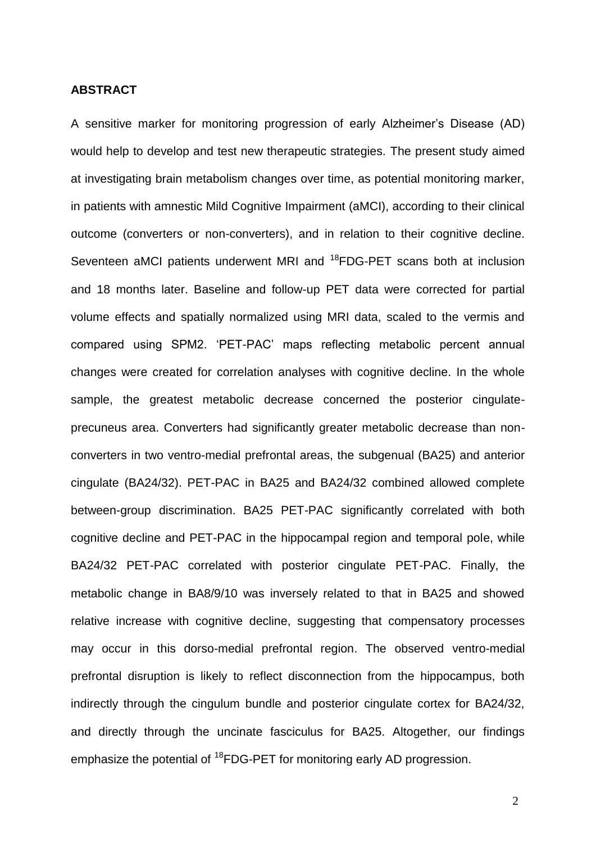#### **ABSTRACT**

A sensitive marker for monitoring progression of early Alzheimer"s Disease (AD) would help to develop and test new therapeutic strategies. The present study aimed at investigating brain metabolism changes over time, as potential monitoring marker, in patients with amnestic Mild Cognitive Impairment (aMCI), according to their clinical outcome (converters or non-converters), and in relation to their cognitive decline. Seventeen aMCI patients underwent MRI and <sup>18</sup>FDG-PET scans both at inclusion and 18 months later. Baseline and follow-up PET data were corrected for partial volume effects and spatially normalized using MRI data, scaled to the vermis and compared using SPM2. "PET-PAC" maps reflecting metabolic percent annual changes were created for correlation analyses with cognitive decline. In the whole sample, the greatest metabolic decrease concerned the posterior cingulateprecuneus area. Converters had significantly greater metabolic decrease than nonconverters in two ventro-medial prefrontal areas, the subgenual (BA25) and anterior cingulate (BA24/32). PET-PAC in BA25 and BA24/32 combined allowed complete between-group discrimination. BA25 PET-PAC significantly correlated with both cognitive decline and PET-PAC in the hippocampal region and temporal pole, while BA24/32 PET-PAC correlated with posterior cingulate PET-PAC. Finally, the metabolic change in BA8/9/10 was inversely related to that in BA25 and showed relative increase with cognitive decline, suggesting that compensatory processes may occur in this dorso-medial prefrontal region. The observed ventro-medial prefrontal disruption is likely to reflect disconnection from the hippocampus, both indirectly through the cingulum bundle and posterior cingulate cortex for BA24/32, and directly through the uncinate fasciculus for BA25. Altogether, our findings emphasize the potential of <sup>18</sup>FDG-PET for monitoring early AD progression.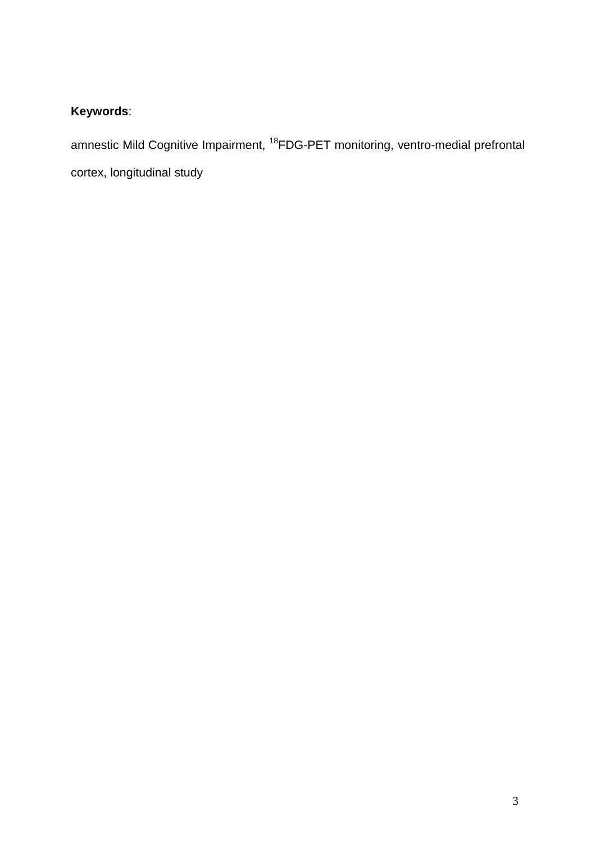## **Keywords**:

amnestic Mild Cognitive Impairment, <sup>18</sup>FDG-PET monitoring, ventro-medial prefrontal cortex, longitudinal study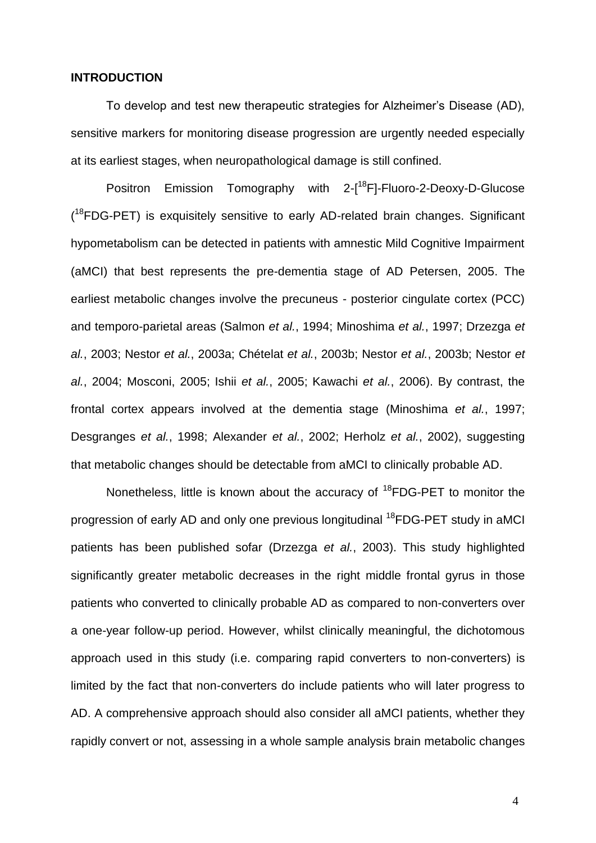#### **INTRODUCTION**

To develop and test new therapeutic strategies for Alzheimer"s Disease (AD), sensitive markers for monitoring disease progression are urgently needed especially at its earliest stages, when neuropathological damage is still confined.

Positron Emission Tomography with 2-[<sup>18</sup>F]-Fluoro-2-Deoxy-D-Glucose (<sup>18</sup>FDG-PET) is exquisitely sensitive to early AD-related brain changes. Significant hypometabolism can be detected in patients with amnestic Mild Cognitive Impairment (aMCI) that best represents the pre-dementia stage of AD Petersen, 2005. The earliest metabolic changes involve the precuneus - posterior cingulate cortex (PCC) and temporo-parietal areas (Salmon *et al.*, 1994; Minoshima *et al.*, 1997; Drzezga *et al.*, 2003; Nestor *et al.*, 2003a; Chételat *et al.*, 2003b; Nestor *et al.*, 2003b; Nestor *et al.*, 2004; Mosconi, 2005; Ishii *et al.*, 2005; Kawachi *et al.*, 2006). By contrast, the frontal cortex appears involved at the dementia stage (Minoshima *et al.*, 1997; Desgranges *et al.*, 1998; Alexander *et al.*, 2002; Herholz *et al.*, 2002), suggesting that metabolic changes should be detectable from aMCI to clinically probable AD.

Nonetheless, little is known about the accuracy of  $^{18}$ FDG-PET to monitor the progression of early AD and only one previous longitudinal <sup>18</sup>FDG-PET study in aMCI patients has been published sofar (Drzezga *et al.*, 2003). This study highlighted significantly greater metabolic decreases in the right middle frontal gyrus in those patients who converted to clinically probable AD as compared to non-converters over a one-year follow-up period. However, whilst clinically meaningful, the dichotomous approach used in this study (i.e. comparing rapid converters to non-converters) is limited by the fact that non-converters do include patients who will later progress to AD. A comprehensive approach should also consider all aMCI patients, whether they rapidly convert or not, assessing in a whole sample analysis brain metabolic changes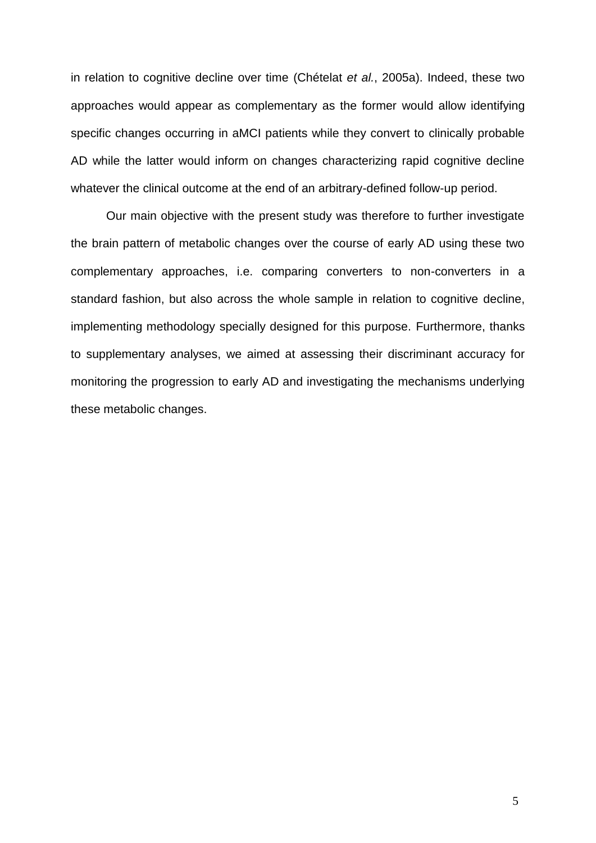in relation to cognitive decline over time (Chételat *et al.*, 2005a). Indeed, these two approaches would appear as complementary as the former would allow identifying specific changes occurring in aMCI patients while they convert to clinically probable AD while the latter would inform on changes characterizing rapid cognitive decline whatever the clinical outcome at the end of an arbitrary-defined follow-up period.

Our main objective with the present study was therefore to further investigate the brain pattern of metabolic changes over the course of early AD using these two complementary approaches, i.e. comparing converters to non-converters in a standard fashion, but also across the whole sample in relation to cognitive decline, implementing methodology specially designed for this purpose. Furthermore, thanks to supplementary analyses, we aimed at assessing their discriminant accuracy for monitoring the progression to early AD and investigating the mechanisms underlying these metabolic changes.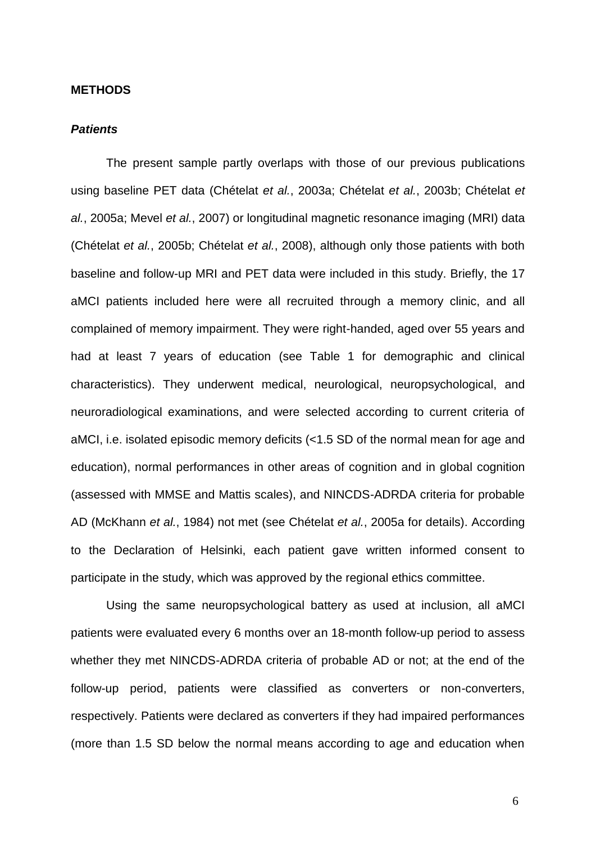#### **METHODS**

#### *Patients*

The present sample partly overlaps with those of our previous publications using baseline PET data (Chételat *et al.*, 2003a; Chételat *et al.*, 2003b; Chételat *et al.*, 2005a; Mevel *et al.*, 2007) or longitudinal magnetic resonance imaging (MRI) data (Chételat *et al.*, 2005b; Chételat *et al.*, 2008), although only those patients with both baseline and follow-up MRI and PET data were included in this study. Briefly, the 17 aMCI patients included here were all recruited through a memory clinic, and all complained of memory impairment. They were right-handed, aged over 55 years and had at least 7 years of education (see Table 1 for demographic and clinical characteristics). They underwent medical, neurological, neuropsychological, and neuroradiological examinations, and were selected according to current criteria of aMCI, i.e. isolated episodic memory deficits (<1.5 SD of the normal mean for age and education), normal performances in other areas of cognition and in global cognition (assessed with MMSE and Mattis scales), and NINCDS-ADRDA criteria for probable AD (McKhann *et al.*, 1984) not met (see Chételat *et al.*, 2005a for details). According to the Declaration of Helsinki, each patient gave written informed consent to participate in the study, which was approved by the regional ethics committee.

Using the same neuropsychological battery as used at inclusion, all aMCI patients were evaluated every 6 months over an 18-month follow-up period to assess whether they met NINCDS-ADRDA criteria of probable AD or not; at the end of the follow-up period, patients were classified as converters or non-converters, respectively. Patients were declared as converters if they had impaired performances (more than 1.5 SD below the normal means according to age and education when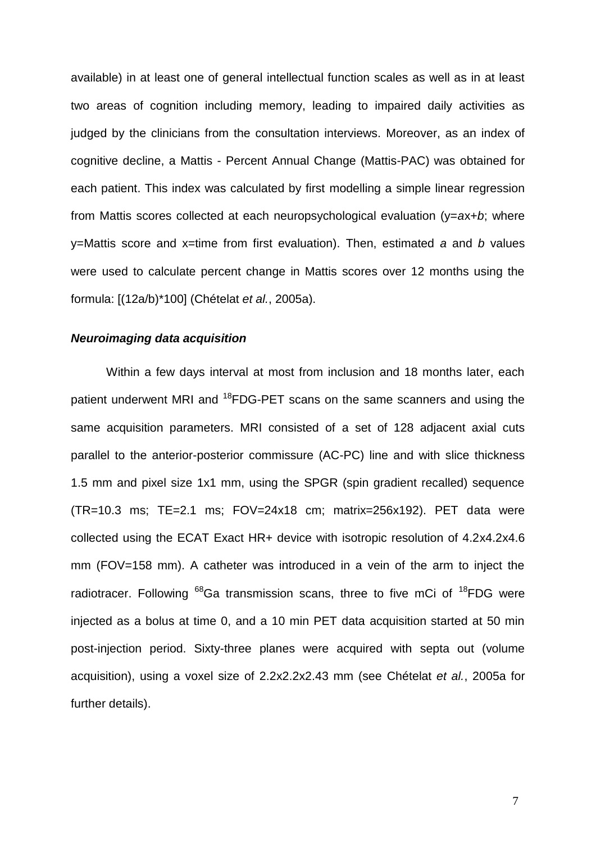available) in at least one of general intellectual function scales as well as in at least two areas of cognition including memory, leading to impaired daily activities as judged by the clinicians from the consultation interviews. Moreover, as an index of cognitive decline, a Mattis - Percent Annual Change (Mattis-PAC) was obtained for each patient. This index was calculated by first modelling a simple linear regression from Mattis scores collected at each neuropsychological evaluation (y=*a*x+*b*; where y=Mattis score and x=time from first evaluation). Then, estimated *a* and *b* values were used to calculate percent change in Mattis scores over 12 months using the formula: [(12a/b)\*100] (Chételat *et al.*, 2005a).

#### *Neuroimaging data acquisition*

Within a few days interval at most from inclusion and 18 months later, each patient underwent MRI and <sup>18</sup>FDG-PET scans on the same scanners and using the same acquisition parameters. MRI consisted of a set of 128 adjacent axial cuts parallel to the anterior-posterior commissure (AC-PC) line and with slice thickness 1.5 mm and pixel size 1x1 mm, using the SPGR (spin gradient recalled) sequence (TR=10.3 ms; TE=2.1 ms; FOV=24x18 cm; matrix=256x192). PET data were collected using the ECAT Exact HR+ device with isotropic resolution of 4.2x4.2x4.6 mm (FOV=158 mm). A catheter was introduced in a vein of the arm to inject the radiotracer. Following  $^{68}$ Ga transmission scans, three to five mCi of  $^{18}$ FDG were injected as a bolus at time 0, and a 10 min PET data acquisition started at 50 min post-injection period. Sixty-three planes were acquired with septa out (volume acquisition), using a voxel size of 2.2x2.2x2.43 mm (see Chételat *et al.*, 2005a for further details).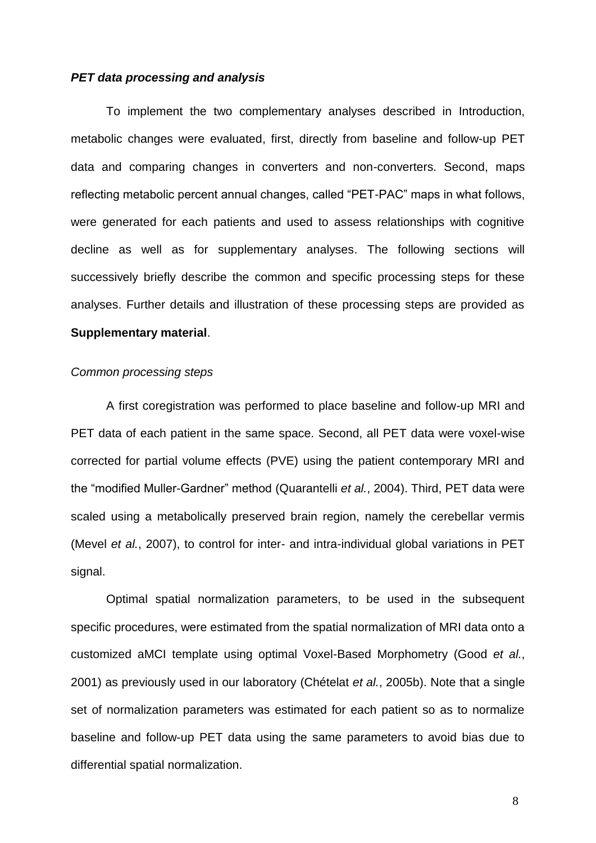#### *PET data processing and analysis*

To implement the two complementary analyses described in Introduction, metabolic changes were evaluated, first, directly from baseline and follow-up PET data and comparing changes in converters and non-converters. Second, maps reflecting metabolic percent annual changes, called "PET-PAC" maps in what follows, were generated for each patients and used to assess relationships with cognitive decline as well as for supplementary analyses. The following sections will successively briefly describe the common and specific processing steps for these analyses. Further details and illustration of these processing steps are provided as **Supplementary material**.

#### *Common processing steps*

A first coregistration was performed to place baseline and follow-up MRI and PET data of each patient in the same space. Second, all PET data were voxel-wise corrected for partial volume effects (PVE) using the patient contemporary MRI and the "modified Muller-Gardner" method (Quarantelli *et al.*, 2004). Third, PET data were scaled using a metabolically preserved brain region, namely the cerebellar vermis (Mevel *et al.*, 2007), to control for inter- and intra-individual global variations in PET signal.

Optimal spatial normalization parameters, to be used in the subsequent specific procedures, were estimated from the spatial normalization of MRI data onto a customized aMCI template using optimal Voxel-Based Morphometry (Good *et al.*, 2001) as previously used in our laboratory (Chételat *et al.*, 2005b). Note that a single set of normalization parameters was estimated for each patient so as to normalize baseline and follow-up PET data using the same parameters to avoid bias due to differential spatial normalization.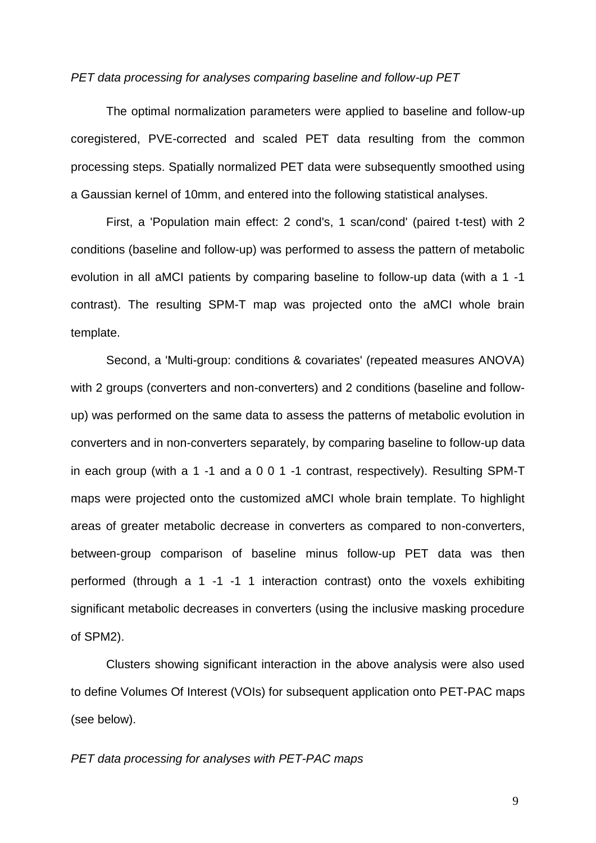#### *PET data processing for analyses comparing baseline and follow-up PET*

The optimal normalization parameters were applied to baseline and follow-up coregistered, PVE-corrected and scaled PET data resulting from the common processing steps. Spatially normalized PET data were subsequently smoothed using a Gaussian kernel of 10mm, and entered into the following statistical analyses.

First, a 'Population main effect: 2 cond's, 1 scan/cond' (paired t-test) with 2 conditions (baseline and follow-up) was performed to assess the pattern of metabolic evolution in all aMCI patients by comparing baseline to follow-up data (with a 1 -1 contrast). The resulting SPM-T map was projected onto the aMCI whole brain template.

Second, a 'Multi-group: conditions & covariates' (repeated measures ANOVA) with 2 groups (converters and non-converters) and 2 conditions (baseline and followup) was performed on the same data to assess the patterns of metabolic evolution in converters and in non-converters separately, by comparing baseline to follow-up data in each group (with a 1 -1 and a 0 0 1 -1 contrast, respectively). Resulting SPM-T maps were projected onto the customized aMCI whole brain template. To highlight areas of greater metabolic decrease in converters as compared to non-converters, between-group comparison of baseline minus follow-up PET data was then performed (through a 1 -1 -1 1 interaction contrast) onto the voxels exhibiting significant metabolic decreases in converters (using the inclusive masking procedure of SPM2).

Clusters showing significant interaction in the above analysis were also used to define Volumes Of Interest (VOIs) for subsequent application onto PET-PAC maps (see below).

#### *PET data processing for analyses with PET-PAC maps*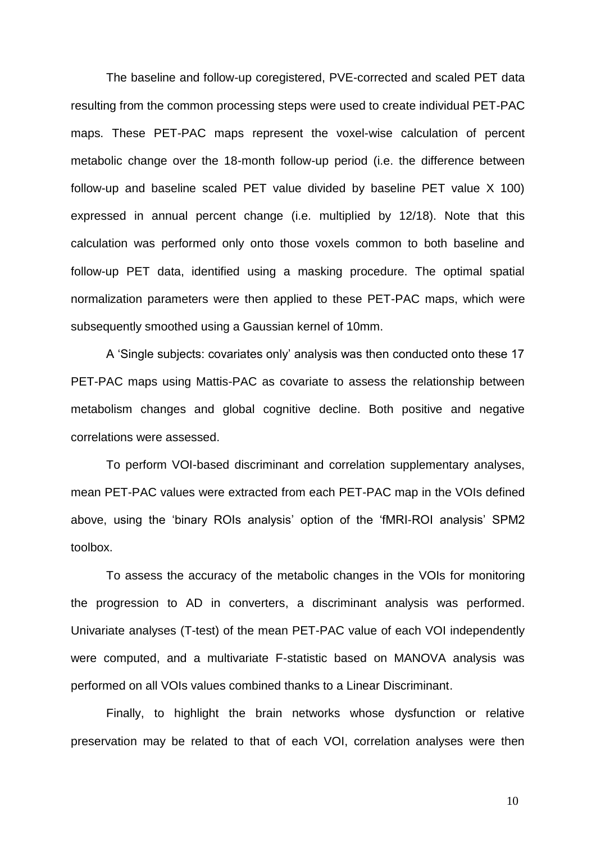The baseline and follow-up coregistered, PVE-corrected and scaled PET data resulting from the common processing steps were used to create individual PET-PAC maps. These PET-PAC maps represent the voxel-wise calculation of percent metabolic change over the 18-month follow-up period (i.e. the difference between follow-up and baseline scaled PET value divided by baseline PET value X 100) expressed in annual percent change (i.e. multiplied by 12/18). Note that this calculation was performed only onto those voxels common to both baseline and follow-up PET data, identified using a masking procedure. The optimal spatial normalization parameters were then applied to these PET-PAC maps, which were subsequently smoothed using a Gaussian kernel of 10mm.

A "Single subjects: covariates only" analysis was then conducted onto these 17 PET-PAC maps using Mattis-PAC as covariate to assess the relationship between metabolism changes and global cognitive decline. Both positive and negative correlations were assessed.

To perform VOI-based discriminant and correlation supplementary analyses, mean PET-PAC values were extracted from each PET-PAC map in the VOIs defined above, using the "binary ROIs analysis" option of the "fMRI-ROI analysis" SPM2 toolbox.

To assess the accuracy of the metabolic changes in the VOIs for monitoring the progression to AD in converters, a discriminant analysis was performed. Univariate analyses (T-test) of the mean PET-PAC value of each VOI independently were computed, and a multivariate F-statistic based on MANOVA analysis was performed on all VOIs values combined thanks to a Linear Discriminant.

Finally, to highlight the brain networks whose dysfunction or relative preservation may be related to that of each VOI, correlation analyses were then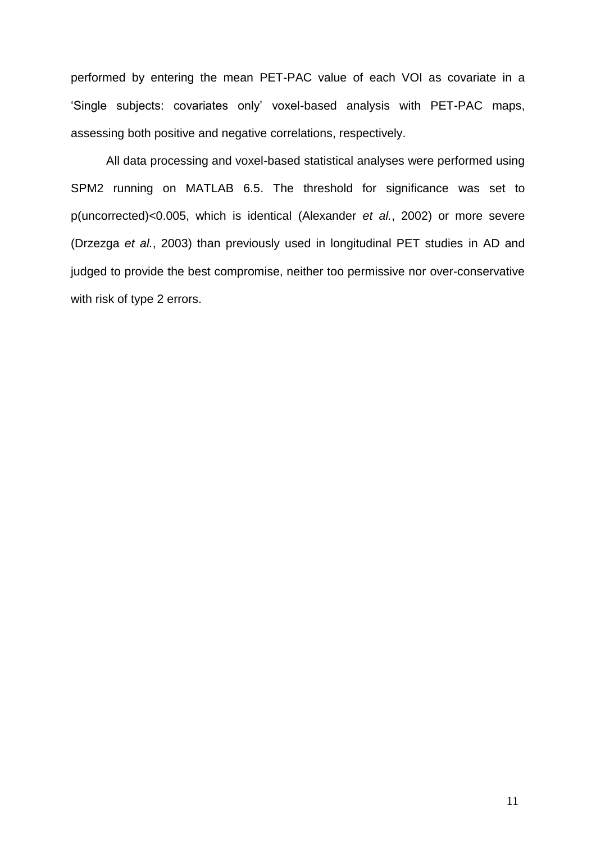performed by entering the mean PET-PAC value of each VOI as covariate in a "Single subjects: covariates only" voxel-based analysis with PET-PAC maps, assessing both positive and negative correlations, respectively.

All data processing and voxel-based statistical analyses were performed using SPM2 running on MATLAB 6.5. The threshold for significance was set to p(uncorrected)<0.005, which is identical (Alexander *et al.*, 2002) or more severe (Drzezga *et al.*, 2003) than previously used in longitudinal PET studies in AD and judged to provide the best compromise, neither too permissive nor over-conservative with risk of type 2 errors.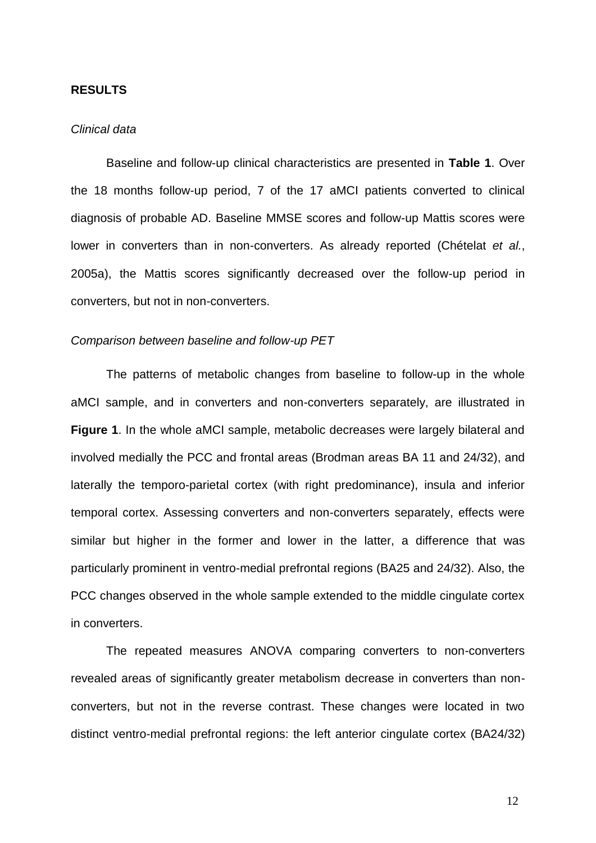#### **RESULTS**

#### *Clinical data*

Baseline and follow-up clinical characteristics are presented in **Table 1**. Over the 18 months follow-up period, 7 of the 17 aMCI patients converted to clinical diagnosis of probable AD. Baseline MMSE scores and follow-up Mattis scores were lower in converters than in non-converters. As already reported (Chételat *et al.*, 2005a), the Mattis scores significantly decreased over the follow-up period in converters, but not in non-converters.

#### *Comparison between baseline and follow-up PET*

The patterns of metabolic changes from baseline to follow-up in the whole aMCI sample, and in converters and non-converters separately, are illustrated in **Figure 1**. In the whole aMCI sample, metabolic decreases were largely bilateral and involved medially the PCC and frontal areas (Brodman areas BA 11 and 24/32), and laterally the temporo-parietal cortex (with right predominance), insula and inferior temporal cortex. Assessing converters and non-converters separately, effects were similar but higher in the former and lower in the latter, a difference that was particularly prominent in ventro-medial prefrontal regions (BA25 and 24/32). Also, the PCC changes observed in the whole sample extended to the middle cingulate cortex in converters.

The repeated measures ANOVA comparing converters to non-converters revealed areas of significantly greater metabolism decrease in converters than nonconverters, but not in the reverse contrast. These changes were located in two distinct ventro-medial prefrontal regions: the left anterior cingulate cortex (BA24/32)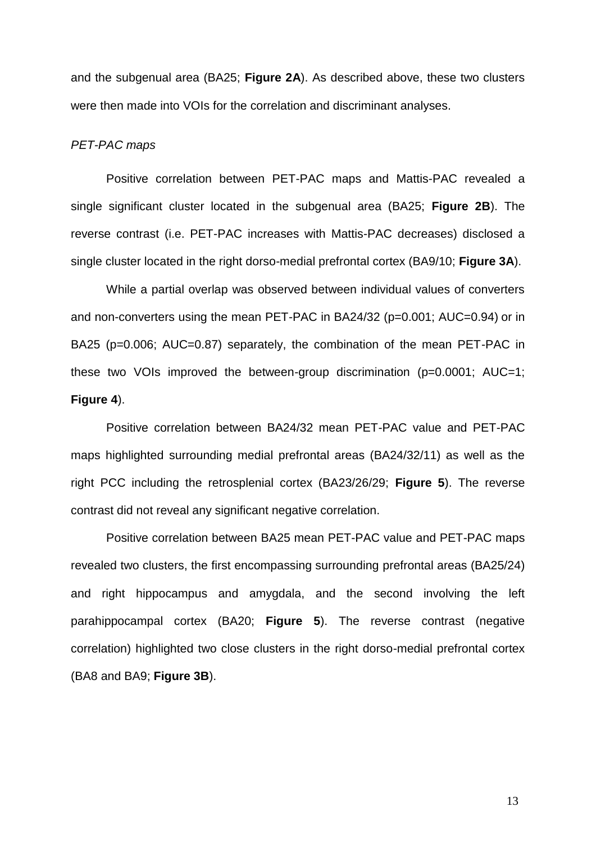and the subgenual area (BA25; **Figure 2A**). As described above, these two clusters were then made into VOIs for the correlation and discriminant analyses.

#### *PET-PAC maps*

Positive correlation between PET-PAC maps and Mattis-PAC revealed a single significant cluster located in the subgenual area (BA25; **Figure 2B**). The reverse contrast (i.e. PET-PAC increases with Mattis-PAC decreases) disclosed a single cluster located in the right dorso-medial prefrontal cortex (BA9/10; **Figure 3A**).

While a partial overlap was observed between individual values of converters and non-converters using the mean PET-PAC in BA24/32 (p=0.001; AUC=0.94) or in BA25 (p=0.006; AUC=0.87) separately, the combination of the mean PET-PAC in these two VOIs improved the between-group discrimination (p=0.0001; AUC=1; **Figure 4**).

Positive correlation between BA24/32 mean PET-PAC value and PET-PAC maps highlighted surrounding medial prefrontal areas (BA24/32/11) as well as the right PCC including the retrosplenial cortex (BA23/26/29; **Figure 5**). The reverse contrast did not reveal any significant negative correlation.

Positive correlation between BA25 mean PET-PAC value and PET-PAC maps revealed two clusters, the first encompassing surrounding prefrontal areas (BA25/24) and right hippocampus and amygdala, and the second involving the left parahippocampal cortex (BA20; **Figure 5**). The reverse contrast (negative correlation) highlighted two close clusters in the right dorso-medial prefrontal cortex (BA8 and BA9; **Figure 3B**).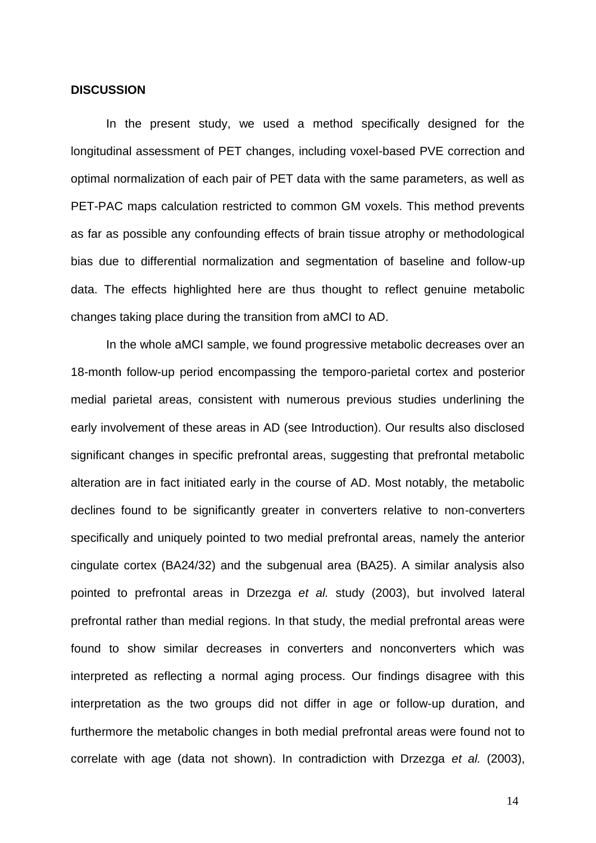#### **DISCUSSION**

In the present study, we used a method specifically designed for the longitudinal assessment of PET changes, including voxel-based PVE correction and optimal normalization of each pair of PET data with the same parameters, as well as PET-PAC maps calculation restricted to common GM voxels. This method prevents as far as possible any confounding effects of brain tissue atrophy or methodological bias due to differential normalization and segmentation of baseline and follow-up data. The effects highlighted here are thus thought to reflect genuine metabolic changes taking place during the transition from aMCI to AD.

In the whole aMCI sample, we found progressive metabolic decreases over an 18-month follow-up period encompassing the temporo-parietal cortex and posterior medial parietal areas, consistent with numerous previous studies underlining the early involvement of these areas in AD (see Introduction). Our results also disclosed significant changes in specific prefrontal areas, suggesting that prefrontal metabolic alteration are in fact initiated early in the course of AD. Most notably, the metabolic declines found to be significantly greater in converters relative to non-converters specifically and uniquely pointed to two medial prefrontal areas, namely the anterior cingulate cortex (BA24/32) and the subgenual area (BA25). A similar analysis also pointed to prefrontal areas in Drzezga *et al.* study (2003), but involved lateral prefrontal rather than medial regions. In that study, the medial prefrontal areas were found to show similar decreases in converters and nonconverters which was interpreted as reflecting a normal aging process. Our findings disagree with this interpretation as the two groups did not differ in age or follow-up duration, and furthermore the metabolic changes in both medial prefrontal areas were found not to correlate with age (data not shown). In contradiction with Drzezga *et al.* (2003),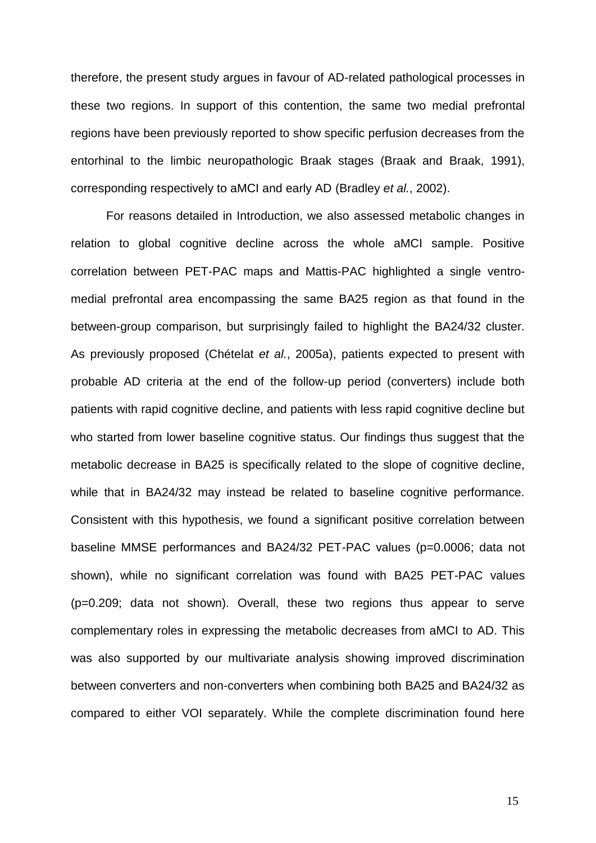therefore, the present study argues in favour of AD-related pathological processes in these two regions. In support of this contention, the same two medial prefrontal regions have been previously reported to show specific perfusion decreases from the entorhinal to the limbic neuropathologic Braak stages (Braak and Braak, 1991), corresponding respectively to aMCI and early AD (Bradley *et al.*, 2002).

For reasons detailed in Introduction, we also assessed metabolic changes in relation to global cognitive decline across the whole aMCI sample. Positive correlation between PET-PAC maps and Mattis-PAC highlighted a single ventromedial prefrontal area encompassing the same BA25 region as that found in the between-group comparison, but surprisingly failed to highlight the BA24/32 cluster. As previously proposed (Chételat *et al.*, 2005a), patients expected to present with probable AD criteria at the end of the follow-up period (converters) include both patients with rapid cognitive decline, and patients with less rapid cognitive decline but who started from lower baseline cognitive status. Our findings thus suggest that the metabolic decrease in BA25 is specifically related to the slope of cognitive decline, while that in BA24/32 may instead be related to baseline cognitive performance. Consistent with this hypothesis, we found a significant positive correlation between baseline MMSE performances and BA24/32 PET-PAC values (p=0.0006; data not shown), while no significant correlation was found with BA25 PET-PAC values (p=0.209; data not shown). Overall, these two regions thus appear to serve complementary roles in expressing the metabolic decreases from aMCI to AD. This was also supported by our multivariate analysis showing improved discrimination between converters and non-converters when combining both BA25 and BA24/32 as compared to either VOI separately. While the complete discrimination found here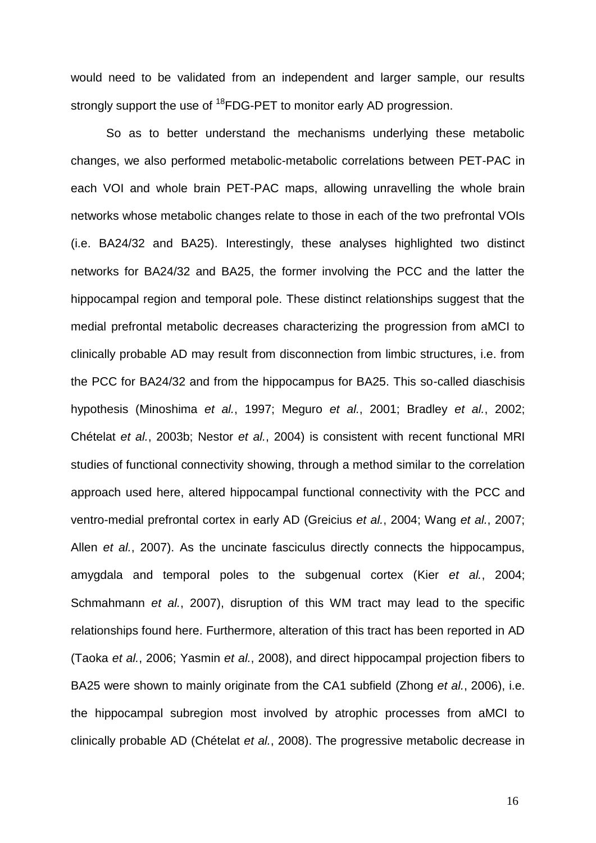would need to be validated from an independent and larger sample, our results strongly support the use of <sup>18</sup>FDG-PET to monitor early AD progression.

So as to better understand the mechanisms underlying these metabolic changes, we also performed metabolic-metabolic correlations between PET-PAC in each VOI and whole brain PET-PAC maps, allowing unravelling the whole brain networks whose metabolic changes relate to those in each of the two prefrontal VOIs (i.e. BA24/32 and BA25). Interestingly, these analyses highlighted two distinct networks for BA24/32 and BA25, the former involving the PCC and the latter the hippocampal region and temporal pole. These distinct relationships suggest that the medial prefrontal metabolic decreases characterizing the progression from aMCI to clinically probable AD may result from disconnection from limbic structures, i.e. from the PCC for BA24/32 and from the hippocampus for BA25. This so-called diaschisis hypothesis (Minoshima *et al.*, 1997; Meguro *et al.*, 2001; Bradley *et al.*, 2002; Chételat *et al.*, 2003b; Nestor *et al.*, 2004) is consistent with recent functional MRI studies of functional connectivity showing, through a method similar to the correlation approach used here, altered hippocampal functional connectivity with the PCC and ventro-medial prefrontal cortex in early AD (Greicius *et al.*, 2004; Wang *et al.*, 2007; Allen *et al.*, 2007). As the uncinate fasciculus directly connects the hippocampus, amygdala and temporal poles to the subgenual cortex (Kier *et al.*, 2004; Schmahmann *et al.*, 2007), disruption of this WM tract may lead to the specific relationships found here. Furthermore, alteration of this tract has been reported in AD (Taoka *et al.*, 2006; Yasmin *et al.*, 2008), and direct hippocampal projection fibers to BA25 were shown to mainly originate from the CA1 subfield (Zhong *et al.*, 2006), i.e. the hippocampal subregion most involved by atrophic processes from aMCI to clinically probable AD (Chételat *et al.*, 2008). The progressive metabolic decrease in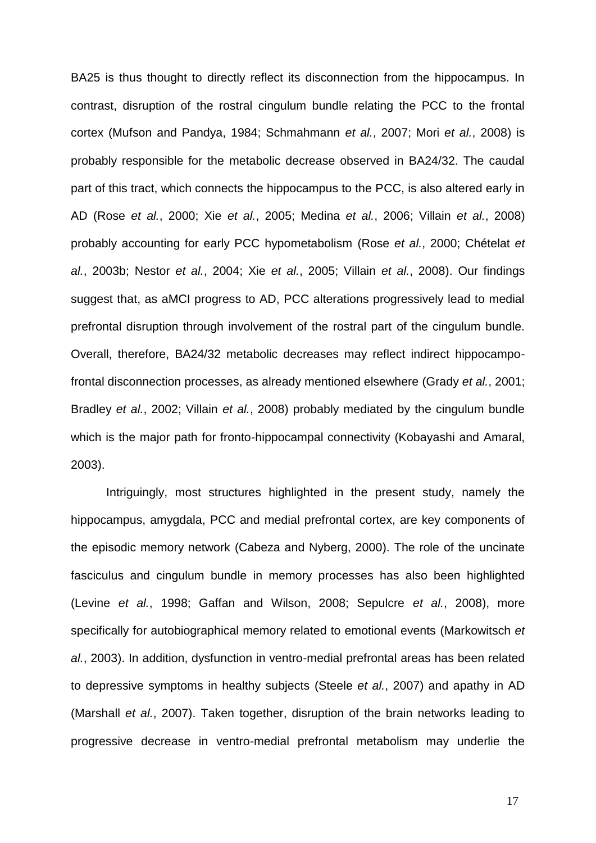BA25 is thus thought to directly reflect its disconnection from the hippocampus. In contrast, disruption of the rostral cingulum bundle relating the PCC to the frontal cortex (Mufson and Pandya, 1984; Schmahmann *et al.*, 2007; Mori *et al.*, 2008) is probably responsible for the metabolic decrease observed in BA24/32. The caudal part of this tract, which connects the hippocampus to the PCC, is also altered early in AD (Rose *et al.*, 2000; Xie *et al.*, 2005; Medina *et al.*, 2006; Villain *et al.*, 2008) probably accounting for early PCC hypometabolism (Rose *et al.*, 2000; Chételat *et al.*, 2003b; Nestor *et al.*, 2004; Xie *et al.*, 2005; Villain *et al.*, 2008). Our findings suggest that, as aMCI progress to AD, PCC alterations progressively lead to medial prefrontal disruption through involvement of the rostral part of the cingulum bundle. Overall, therefore, BA24/32 metabolic decreases may reflect indirect hippocampofrontal disconnection processes, as already mentioned elsewhere (Grady *et al.*, 2001; Bradley *et al.*, 2002; Villain *et al.*, 2008) probably mediated by the cingulum bundle which is the major path for fronto-hippocampal connectivity (Kobayashi and Amaral, 2003).

Intriguingly, most structures highlighted in the present study, namely the hippocampus, amygdala, PCC and medial prefrontal cortex, are key components of the episodic memory network (Cabeza and Nyberg, 2000). The role of the uncinate fasciculus and cingulum bundle in memory processes has also been highlighted (Levine *et al.*, 1998; Gaffan and Wilson, 2008; Sepulcre *et al.*, 2008), more specifically for autobiographical memory related to emotional events (Markowitsch *et al.*, 2003). In addition, dysfunction in ventro-medial prefrontal areas has been related to depressive symptoms in healthy subjects (Steele *et al.*, 2007) and apathy in AD (Marshall *et al.*, 2007). Taken together, disruption of the brain networks leading to progressive decrease in ventro-medial prefrontal metabolism may underlie the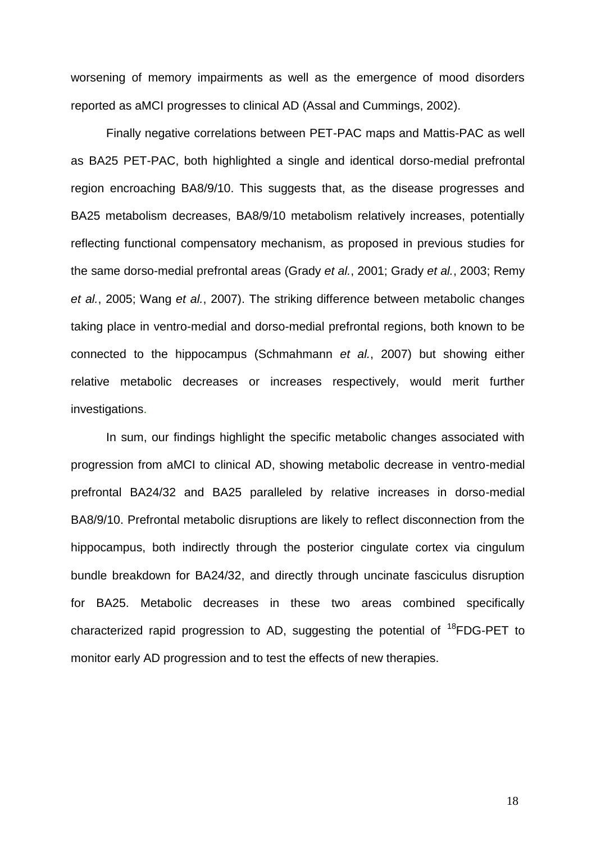worsening of memory impairments as well as the emergence of mood disorders reported as aMCI progresses to clinical AD (Assal and Cummings, 2002).

Finally negative correlations between PET-PAC maps and Mattis-PAC as well as BA25 PET-PAC, both highlighted a single and identical dorso-medial prefrontal region encroaching BA8/9/10. This suggests that, as the disease progresses and BA25 metabolism decreases, BA8/9/10 metabolism relatively increases, potentially reflecting functional compensatory mechanism, as proposed in previous studies for the same dorso-medial prefrontal areas (Grady *et al.*, 2001; Grady *et al.*, 2003; Remy *et al.*, 2005; Wang *et al.*, 2007). The striking difference between metabolic changes taking place in ventro-medial and dorso-medial prefrontal regions, both known to be connected to the hippocampus (Schmahmann *et al.*, 2007) but showing either relative metabolic decreases or increases respectively, would merit further investigations.

In sum, our findings highlight the specific metabolic changes associated with progression from aMCI to clinical AD, showing metabolic decrease in ventro-medial prefrontal BA24/32 and BA25 paralleled by relative increases in dorso-medial BA8/9/10. Prefrontal metabolic disruptions are likely to reflect disconnection from the hippocampus, both indirectly through the posterior cingulate cortex via cingulum bundle breakdown for BA24/32, and directly through uncinate fasciculus disruption for BA25. Metabolic decreases in these two areas combined specifically characterized rapid progression to AD, suggesting the potential of  ${}^{18}$ FDG-PET to monitor early AD progression and to test the effects of new therapies.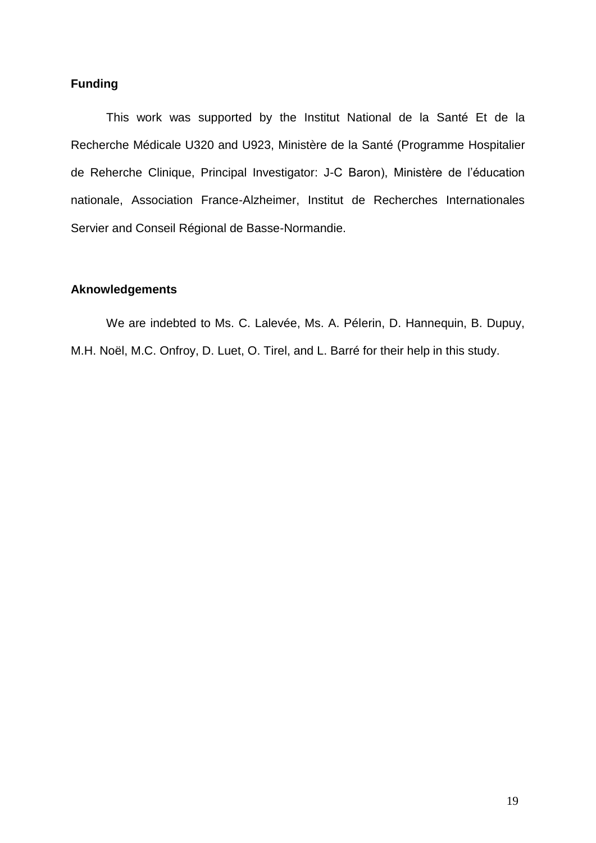### **Funding**

This work was supported by the Institut National de la Santé Et de la Recherche Médicale U320 and U923, Ministère de la Santé (Programme Hospitalier de Reherche Clinique, Principal Investigator: J-C Baron), Ministère de l"éducation nationale, Association France-Alzheimer, Institut de Recherches Internationales Servier and Conseil Régional de Basse-Normandie.

#### **Aknowledgements**

We are indebted to Ms. C. Lalevée, Ms. A. Pélerin, D. Hannequin, B. Dupuy, M.H. Noël, M.C. Onfroy, D. Luet, O. Tirel, and L. Barré for their help in this study.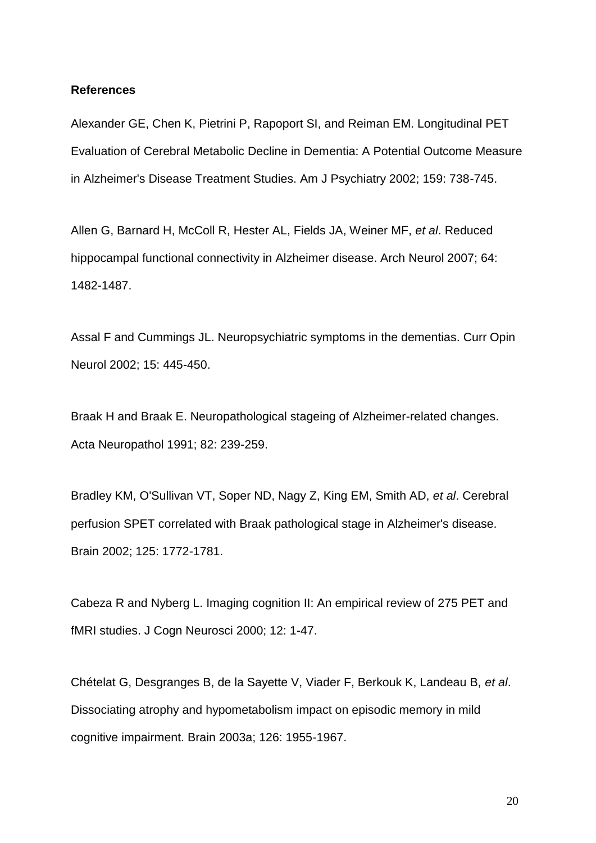#### **References**

Alexander GE, Chen K, Pietrini P, Rapoport SI, and Reiman EM. Longitudinal PET Evaluation of Cerebral Metabolic Decline in Dementia: A Potential Outcome Measure in Alzheimer's Disease Treatment Studies. Am J Psychiatry 2002; 159: 738-745.

Allen G, Barnard H, McColl R, Hester AL, Fields JA, Weiner MF, *et al*. Reduced hippocampal functional connectivity in Alzheimer disease. Arch Neurol 2007; 64: 1482-1487.

Assal F and Cummings JL. Neuropsychiatric symptoms in the dementias. Curr Opin Neurol 2002; 15: 445-450.

Braak H and Braak E. Neuropathological stageing of Alzheimer-related changes. Acta Neuropathol 1991; 82: 239-259.

Bradley KM, O'Sullivan VT, Soper ND, Nagy Z, King EM, Smith AD, *et al*. Cerebral perfusion SPET correlated with Braak pathological stage in Alzheimer's disease. Brain 2002; 125: 1772-1781.

Cabeza R and Nyberg L. Imaging cognition II: An empirical review of 275 PET and fMRI studies. J Cogn Neurosci 2000; 12: 1-47.

Chételat G, Desgranges B, de la Sayette V, Viader F, Berkouk K, Landeau B, *et al*. Dissociating atrophy and hypometabolism impact on episodic memory in mild cognitive impairment. Brain 2003a; 126: 1955-1967.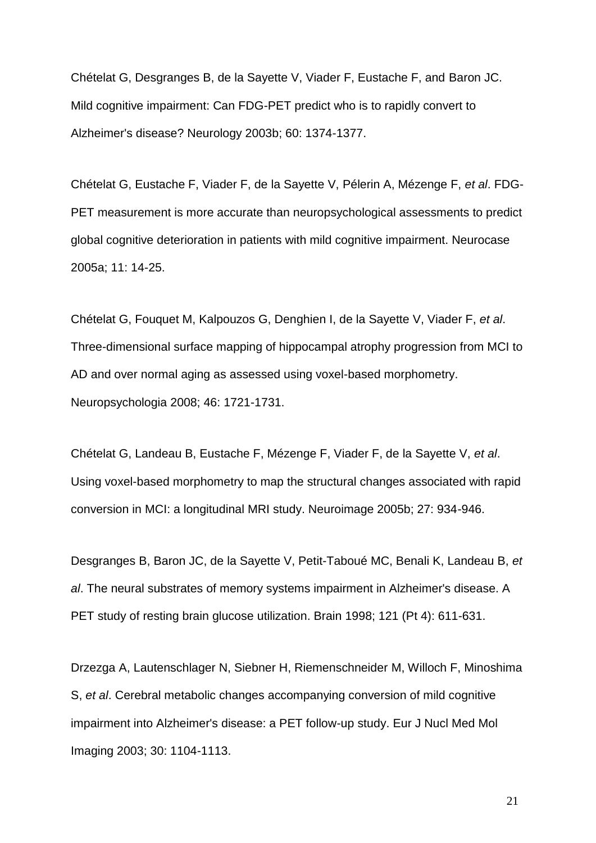Chételat G, Desgranges B, de la Sayette V, Viader F, Eustache F, and Baron JC. Mild cognitive impairment: Can FDG-PET predict who is to rapidly convert to Alzheimer's disease? Neurology 2003b; 60: 1374-1377.

Chételat G, Eustache F, Viader F, de la Sayette V, Pélerin A, Mézenge F, *et al*. FDG-PET measurement is more accurate than neuropsychological assessments to predict global cognitive deterioration in patients with mild cognitive impairment. Neurocase 2005a; 11: 14-25.

Chételat G, Fouquet M, Kalpouzos G, Denghien I, de la Sayette V, Viader F, *et al*. Three-dimensional surface mapping of hippocampal atrophy progression from MCI to AD and over normal aging as assessed using voxel-based morphometry. Neuropsychologia 2008; 46: 1721-1731.

Chételat G, Landeau B, Eustache F, Mézenge F, Viader F, de la Sayette V, *et al*. Using voxel-based morphometry to map the structural changes associated with rapid conversion in MCI: a longitudinal MRI study. Neuroimage 2005b; 27: 934-946.

Desgranges B, Baron JC, de la Sayette V, Petit-Taboué MC, Benali K, Landeau B, *et al*. The neural substrates of memory systems impairment in Alzheimer's disease. A PET study of resting brain glucose utilization. Brain 1998; 121 (Pt 4): 611-631.

Drzezga A, Lautenschlager N, Siebner H, Riemenschneider M, Willoch F, Minoshima S, *et al*. Cerebral metabolic changes accompanying conversion of mild cognitive impairment into Alzheimer's disease: a PET follow-up study. Eur J Nucl Med Mol Imaging 2003; 30: 1104-1113.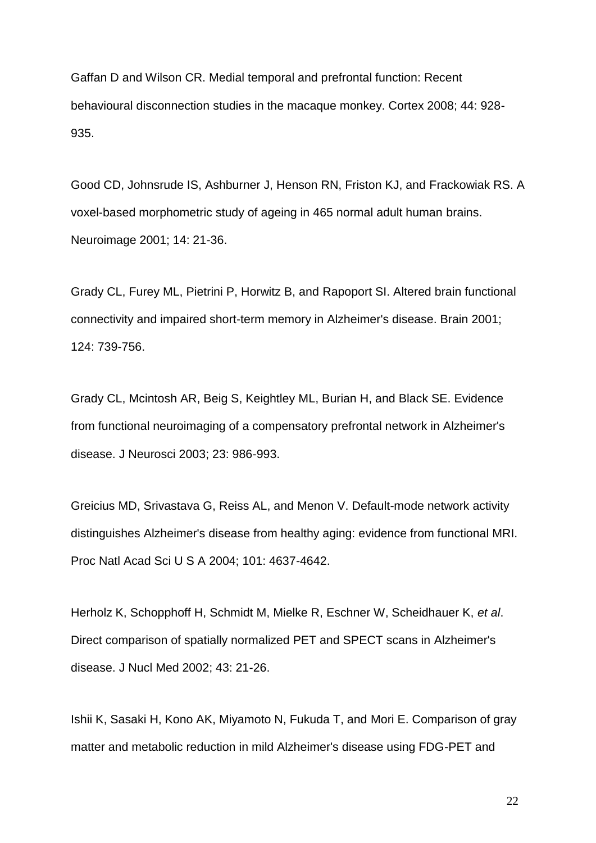Gaffan D and Wilson CR. Medial temporal and prefrontal function: Recent behavioural disconnection studies in the macaque monkey. Cortex 2008; 44: 928- 935.

Good CD, Johnsrude IS, Ashburner J, Henson RN, Friston KJ, and Frackowiak RS. A voxel-based morphometric study of ageing in 465 normal adult human brains. Neuroimage 2001; 14: 21-36.

Grady CL, Furey ML, Pietrini P, Horwitz B, and Rapoport SI. Altered brain functional connectivity and impaired short-term memory in Alzheimer's disease. Brain 2001; 124: 739-756.

Grady CL, Mcintosh AR, Beig S, Keightley ML, Burian H, and Black SE. Evidence from functional neuroimaging of a compensatory prefrontal network in Alzheimer's disease. J Neurosci 2003; 23: 986-993.

Greicius MD, Srivastava G, Reiss AL, and Menon V. Default-mode network activity distinguishes Alzheimer's disease from healthy aging: evidence from functional MRI. Proc Natl Acad Sci U S A 2004; 101: 4637-4642.

Herholz K, Schopphoff H, Schmidt M, Mielke R, Eschner W, Scheidhauer K, *et al*. Direct comparison of spatially normalized PET and SPECT scans in Alzheimer's disease. J Nucl Med 2002; 43: 21-26.

Ishii K, Sasaki H, Kono AK, Miyamoto N, Fukuda T, and Mori E. Comparison of gray matter and metabolic reduction in mild Alzheimer's disease using FDG-PET and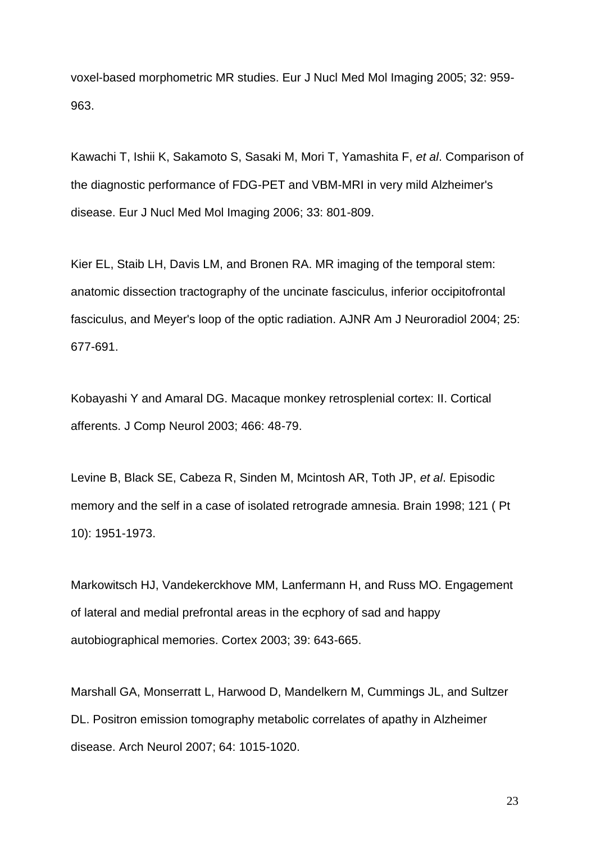voxel-based morphometric MR studies. Eur J Nucl Med Mol Imaging 2005; 32: 959- 963.

Kawachi T, Ishii K, Sakamoto S, Sasaki M, Mori T, Yamashita F, *et al*. Comparison of the diagnostic performance of FDG-PET and VBM-MRI in very mild Alzheimer's disease. Eur J Nucl Med Mol Imaging 2006; 33: 801-809.

Kier EL, Staib LH, Davis LM, and Bronen RA. MR imaging of the temporal stem: anatomic dissection tractography of the uncinate fasciculus, inferior occipitofrontal fasciculus, and Meyer's loop of the optic radiation. AJNR Am J Neuroradiol 2004; 25: 677-691.

Kobayashi Y and Amaral DG. Macaque monkey retrosplenial cortex: II. Cortical afferents. J Comp Neurol 2003; 466: 48-79.

Levine B, Black SE, Cabeza R, Sinden M, Mcintosh AR, Toth JP, *et al*. Episodic memory and the self in a case of isolated retrograde amnesia. Brain 1998; 121 ( Pt 10): 1951-1973.

Markowitsch HJ, Vandekerckhove MM, Lanfermann H, and Russ MO. Engagement of lateral and medial prefrontal areas in the ecphory of sad and happy autobiographical memories. Cortex 2003; 39: 643-665.

Marshall GA, Monserratt L, Harwood D, Mandelkern M, Cummings JL, and Sultzer DL. Positron emission tomography metabolic correlates of apathy in Alzheimer disease. Arch Neurol 2007; 64: 1015-1020.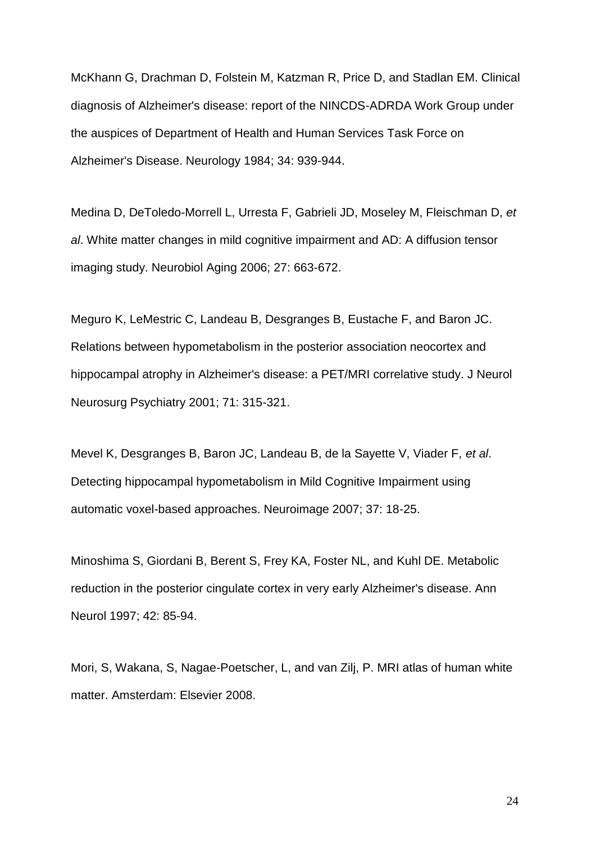McKhann G, Drachman D, Folstein M, Katzman R, Price D, and Stadlan EM. Clinical diagnosis of Alzheimer's disease: report of the NINCDS-ADRDA Work Group under the auspices of Department of Health and Human Services Task Force on Alzheimer's Disease. Neurology 1984; 34: 939-944.

Medina D, DeToledo-Morrell L, Urresta F, Gabrieli JD, Moseley M, Fleischman D, *et al*. White matter changes in mild cognitive impairment and AD: A diffusion tensor imaging study. Neurobiol Aging 2006; 27: 663-672.

Meguro K, LeMestric C, Landeau B, Desgranges B, Eustache F, and Baron JC. Relations between hypometabolism in the posterior association neocortex and hippocampal atrophy in Alzheimer's disease: a PET/MRI correlative study. J Neurol Neurosurg Psychiatry 2001; 71: 315-321.

Mevel K, Desgranges B, Baron JC, Landeau B, de la Sayette V, Viader F, *et al*. Detecting hippocampal hypometabolism in Mild Cognitive Impairment using automatic voxel-based approaches. Neuroimage 2007; 37: 18-25.

Minoshima S, Giordani B, Berent S, Frey KA, Foster NL, and Kuhl DE. Metabolic reduction in the posterior cingulate cortex in very early Alzheimer's disease. Ann Neurol 1997; 42: 85-94.

Mori, S, Wakana, S, Nagae-Poetscher, L, and van Zilj, P. MRI atlas of human white matter. Amsterdam: Elsevier 2008.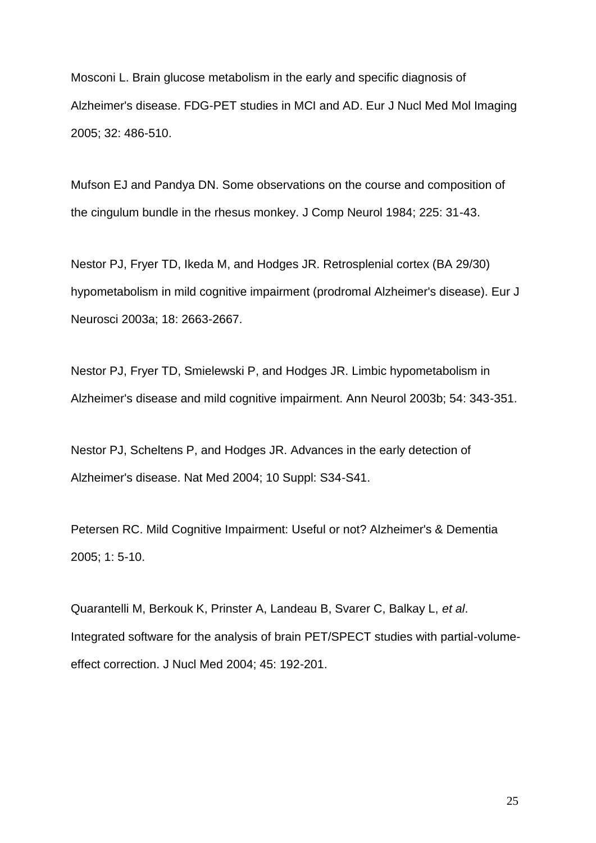Mosconi L. Brain glucose metabolism in the early and specific diagnosis of Alzheimer's disease. FDG-PET studies in MCI and AD. Eur J Nucl Med Mol Imaging 2005; 32: 486-510.

Mufson EJ and Pandya DN. Some observations on the course and composition of the cingulum bundle in the rhesus monkey. J Comp Neurol 1984; 225: 31-43.

Nestor PJ, Fryer TD, Ikeda M, and Hodges JR. Retrosplenial cortex (BA 29/30) hypometabolism in mild cognitive impairment (prodromal Alzheimer's disease). Eur J Neurosci 2003a; 18: 2663-2667.

Nestor PJ, Fryer TD, Smielewski P, and Hodges JR. Limbic hypometabolism in Alzheimer's disease and mild cognitive impairment. Ann Neurol 2003b; 54: 343-351.

Nestor PJ, Scheltens P, and Hodges JR. Advances in the early detection of Alzheimer's disease. Nat Med 2004; 10 Suppl: S34-S41.

Petersen RC. Mild Cognitive Impairment: Useful or not? Alzheimer's & Dementia 2005; 1: 5-10.

Quarantelli M, Berkouk K, Prinster A, Landeau B, Svarer C, Balkay L, *et al*. Integrated software for the analysis of brain PET/SPECT studies with partial-volumeeffect correction. J Nucl Med 2004; 45: 192-201.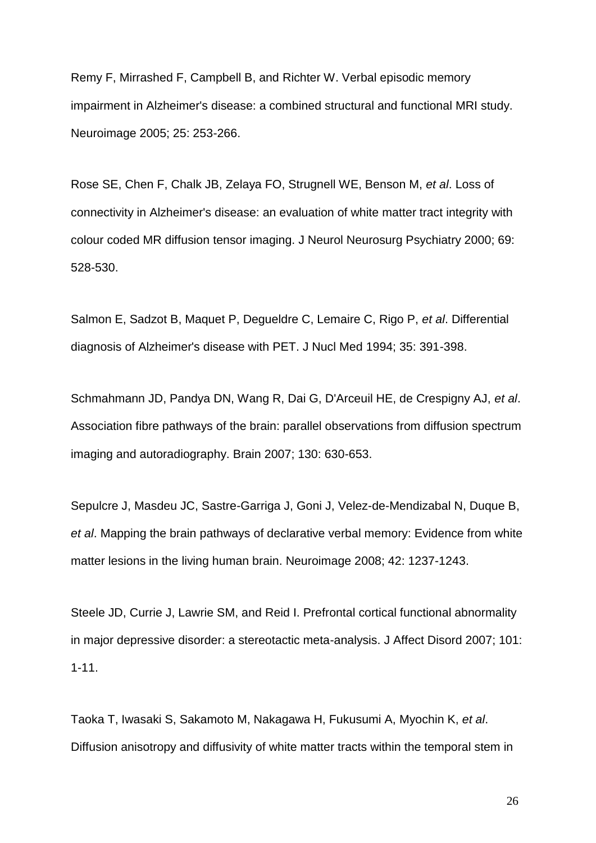Remy F, Mirrashed F, Campbell B, and Richter W. Verbal episodic memory impairment in Alzheimer's disease: a combined structural and functional MRI study. Neuroimage 2005; 25: 253-266.

Rose SE, Chen F, Chalk JB, Zelaya FO, Strugnell WE, Benson M, *et al*. Loss of connectivity in Alzheimer's disease: an evaluation of white matter tract integrity with colour coded MR diffusion tensor imaging. J Neurol Neurosurg Psychiatry 2000; 69: 528-530.

Salmon E, Sadzot B, Maquet P, Degueldre C, Lemaire C, Rigo P, *et al*. Differential diagnosis of Alzheimer's disease with PET. J Nucl Med 1994; 35: 391-398.

Schmahmann JD, Pandya DN, Wang R, Dai G, D'Arceuil HE, de Crespigny AJ, *et al*. Association fibre pathways of the brain: parallel observations from diffusion spectrum imaging and autoradiography. Brain 2007; 130: 630-653.

Sepulcre J, Masdeu JC, Sastre-Garriga J, Goni J, Velez-de-Mendizabal N, Duque B, *et al*. Mapping the brain pathways of declarative verbal memory: Evidence from white matter lesions in the living human brain. Neuroimage 2008; 42: 1237-1243.

Steele JD, Currie J, Lawrie SM, and Reid I. Prefrontal cortical functional abnormality in major depressive disorder: a stereotactic meta-analysis. J Affect Disord 2007; 101: 1-11.

Taoka T, Iwasaki S, Sakamoto M, Nakagawa H, Fukusumi A, Myochin K, *et al*. Diffusion anisotropy and diffusivity of white matter tracts within the temporal stem in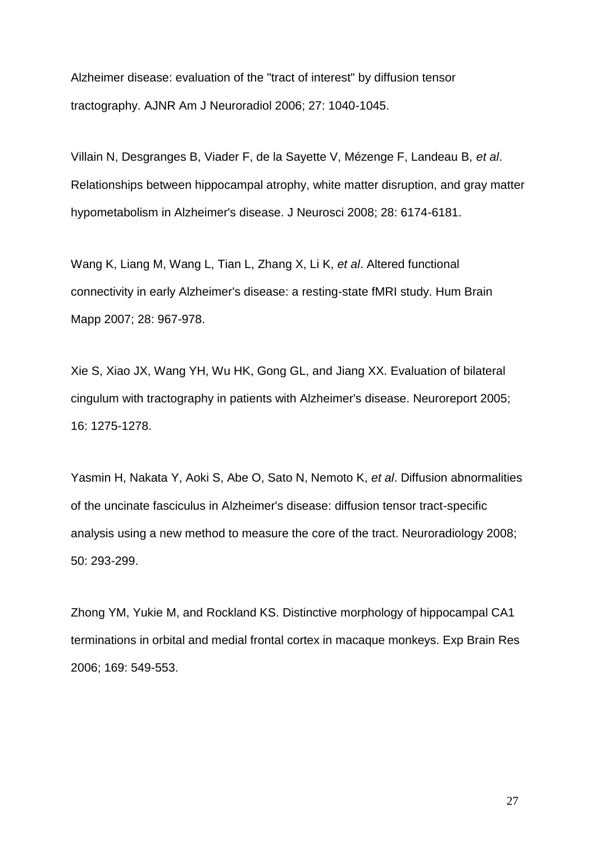Alzheimer disease: evaluation of the "tract of interest" by diffusion tensor tractography. AJNR Am J Neuroradiol 2006; 27: 1040-1045.

Villain N, Desgranges B, Viader F, de la Sayette V, Mézenge F, Landeau B, *et al*. Relationships between hippocampal atrophy, white matter disruption, and gray matter hypometabolism in Alzheimer's disease. J Neurosci 2008; 28: 6174-6181.

Wang K, Liang M, Wang L, Tian L, Zhang X, Li K, *et al*. Altered functional connectivity in early Alzheimer's disease: a resting-state fMRI study. Hum Brain Mapp 2007; 28: 967-978.

Xie S, Xiao JX, Wang YH, Wu HK, Gong GL, and Jiang XX. Evaluation of bilateral cingulum with tractography in patients with Alzheimer's disease. Neuroreport 2005; 16: 1275-1278.

Yasmin H, Nakata Y, Aoki S, Abe O, Sato N, Nemoto K, *et al*. Diffusion abnormalities of the uncinate fasciculus in Alzheimer's disease: diffusion tensor tract-specific analysis using a new method to measure the core of the tract. Neuroradiology 2008; 50: 293-299.

Zhong YM, Yukie M, and Rockland KS. Distinctive morphology of hippocampal CA1 terminations in orbital and medial frontal cortex in macaque monkeys. Exp Brain Res 2006; 169: 549-553.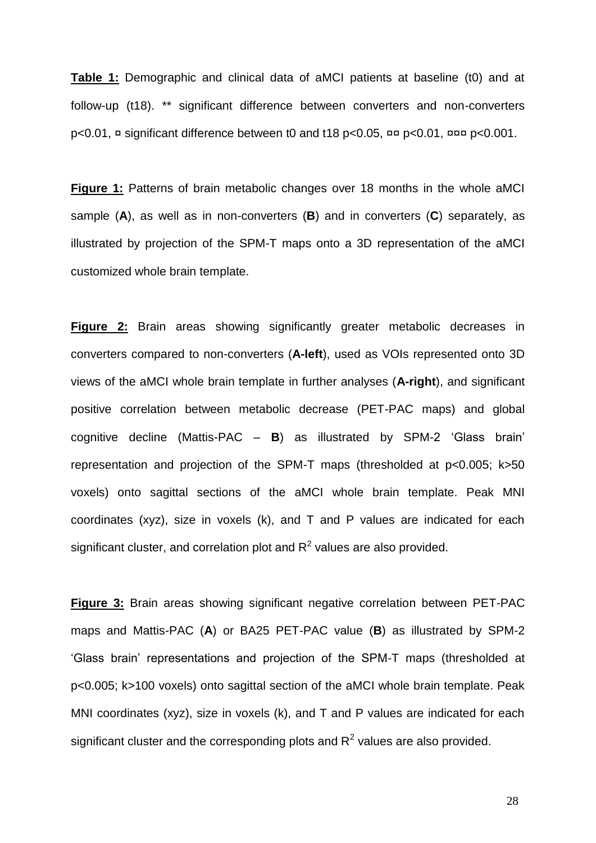**Table 1:** Demographic and clinical data of aMCI patients at baseline (t0) and at follow-up (t18). \*\* significant difference between converters and non-converters p<0.01, ¤ significant difference between t0 and t18 p<0.05, ¤¤ p<0.01, ¤¤¤ p<0.001.

**Figure 1:** Patterns of brain metabolic changes over 18 months in the whole aMCI sample (**A**), as well as in non-converters (**B**) and in converters (**C**) separately, as illustrated by projection of the SPM-T maps onto a 3D representation of the aMCI customized whole brain template.

**Figure 2:** Brain areas showing significantly greater metabolic decreases in converters compared to non-converters (**A-left**), used as VOIs represented onto 3D views of the aMCI whole brain template in further analyses (**A-right**), and significant positive correlation between metabolic decrease (PET-PAC maps) and global cognitive decline (Mattis-PAC – **B**) as illustrated by SPM-2 "Glass brain" representation and projection of the SPM-T maps (thresholded at p<0.005; k>50 voxels) onto sagittal sections of the aMCI whole brain template. Peak MNI coordinates (xyz), size in voxels (k), and T and P values are indicated for each significant cluster, and correlation plot and  $R^2$  values are also provided.

**Figure 3:** Brain areas showing significant negative correlation between PET-PAC maps and Mattis-PAC (**A**) or BA25 PET-PAC value (**B**) as illustrated by SPM-2 "Glass brain" representations and projection of the SPM-T maps (thresholded at p<0.005; k>100 voxels) onto sagittal section of the aMCI whole brain template. Peak MNI coordinates (xyz), size in voxels (k), and T and P values are indicated for each significant cluster and the corresponding plots and  $R^2$  values are also provided.